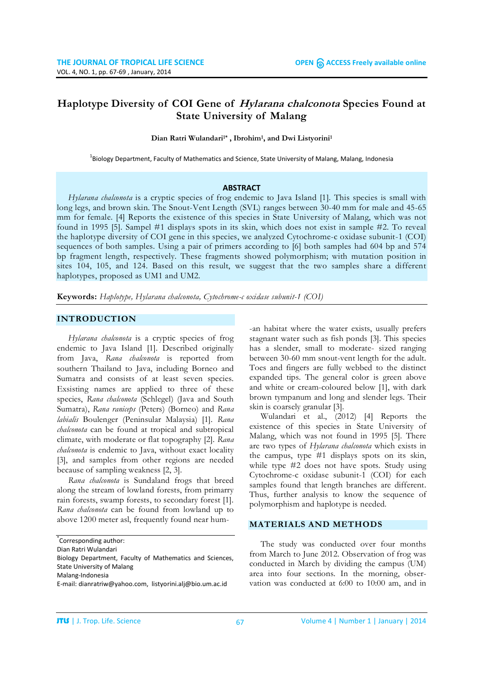# **Haplotype Diversity of COI Gene of Hylarana chalconota Species Found at State University of Malang**

**Dian Ratri Wulandari1\* , Ibrohim1, and Dwi Listyorini1**

<sup>1</sup>Biology Department, Faculty of Mathematics and Science, State University of Malang, Malang, Indonesia

#### **ABSTRACT**

*Hylarana chalconota* is a cryptic species of frog endemic to Java Island [1]. This species is small with long legs, and brown skin. The Snout-Vent Length (SVL) ranges between 30-40 mm for male and 45-65 mm for female. [4] Reports the existence of this species in State University of Malang, which was not found in 1995 [5]. Sampel #1 displays spots in its skin, which does not exist in sample #2. To reveal the haplotype diversity of COI gene in this species, we analyzed Cytochrome-c oxidase subunit-1 (COI) sequences of both samples. Using a pair of primers according to [6] both samples had 604 bp and 574 bp fragment length, respectively. These fragments showed polymorphism; with mutation position in sites 104, 105, and 124. Based on this result, we suggest that the two samples share a different haplotypes, proposed as UM1 and UM2.

**Keywords:** *Haplotype, Hylarana chalconota, Cytochrome-c oxidase subunit-1 (COI)*

#### **INTRODUCTION**

*Hylarana chalconota* is a cryptic species of frog endemic to Java Island [1]. Described originally from Java, *Rana chalconota* is reported from southern Thailand to Java, including Borneo and Sumatra and consists of at least seven species. Exsisting names are applied to three of these species, *Rana chalconota* (Schlegel) (Java and South Sumatra), *Rana raniceps* (Peters) (Borneo) and *Rana labialis* Boulenger (Peninsular Malaysia) [1]. *Rana chalconota* can be found at tropical and subtropical climate, with moderate or flat topography [2]. *Rana chalconota* is endemic to Java, without exact locality [3], and samples from other regions are needed because of sampling weakness [2, 3].

*Rana chalconota* is Sundaland frogs that breed along the stream of lowland forests, from primarry rain forests, swamp forests, to secondary forest [1]. *Rana chalconota* can be found from lowland up to above 1200 meter asl, frequently found near hum-

Dian Ratri Wulandari

Biology Department, Faculty of Mathematics and Sciences, State University of Malang

-an habitat where the water exists, usually prefers stagnant water such as fish ponds [3]. This species has a slender, small to moderate- sized ranging between 30-60 mm snout-vent length for the adult. Toes and fingers are fully webbed to the distinct expanded tips. The general color is green above and white or cream-coloured below [1], with dark brown tympanum and long and slender legs. Their skin is coarsely granular [3].

Wulandari et al., (2012) [4] Reports the existence of this species in State University of Malang, which was not found in 1995 [5]. There are two types of *Hylarana chalconota* which exists in the campus, type #1 displays spots on its skin, while type #2 does not have spots. Study using Cytochrome-c oxidase subunit-1 (COI) for each samples found that length branches are different. Thus, further analysis to know the sequence of polymorphism and haplotype is needed.

# **MATERIALS AND METHODS**

The study was conducted over four months from March to June 2012. Observation of frog was conducted in March by dividing the campus (UM) area into four sections. In the morning, observation was conducted at 6:00 to 10:00 am, and in

<sup>\*</sup> Corresponding author:

Malang-Indonesia

E-mail: [dianratriw@yahoo.com,](mailto:dianratriw@yahoo.com) listyorini.alj@bio.um.ac.id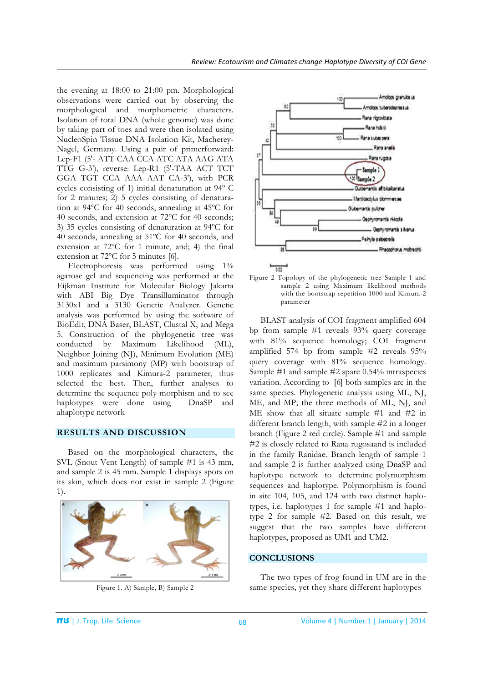the evening at 18:00 to 21:00 pm. Morphological observations were carried out by observing the morphological and morphometric characters. Isolation of total DNA (whole genome) was done by taking part of toes and were then isolated using NucleoSpin Tissue DNA Isolation Kit, Macherey-Nagel, Germany. Using a pair of primerforward: Lep-F1 (5'- ATT CAA CCA ATC ATA AAG ATA TTG G-3'), reverse: Lep-R1 (5'-TAA ACT TCT GGA TGT CCA AAA AAT CA-3'), with PCR cycles consisting of 1) initial denaturation at 94º C for 2 minutes; 2) 5 cycles consisting of denaturation at 94ºC for 40 seconds, annealing at 45ºC for 40 seconds, and extension at 72ºC for 40 seconds; 3) 35 cycles consisting of denaturation at 94ºC for 40 seconds, annealing at 51ºC for 40 seconds, and extension at 72ºC for 1 minute, and; 4) the final extension at 72ºC for 5 minutes [6].

Electrophoresis was performed using 1% agarose gel and sequencing was performed at the Eijkman Institute for Molecular Biology Jakarta with ABI Big Dye Transilluminator through 3130x1 and a 3130 Genetic Analyzer. Genetic analysis was performed by using the software of BioEdit, DNA Baser, BLAST, Clustal X, and Mega 5. Construction of the phylogenetic tree was conducted by Maximum Likelihood (ML), Neighbor Joining (NJ), Minimum Evolution (ME) and maximum parsimony (MP) with bootstrap of 1000 replicates and Kimura-2 parameter, thus selected the best. Then, further analyses to determine the sequence poly-morphism and to see haplotypes were done using DnaSP and ahaplotype network

### **RESULTS AND DISCUSSION**

Based on the morphological characters, the SVL (Snout Vent Length) of sample #1 is 43 mm, and sample 2 is 45 mm. Sample 1 displays spots on its skin, which does not exist in sample 2 (Figure 1).



Figure 1. A) Sample, B) Sample 2



Figure 2 Topology of the phylogenetic tree Sample 1 and sample 2 using Maximum likelihood methods with the bootstrap repetition 1000 and Kimura-2 parameter

BLAST analysis of COI fragment amplified 604 bp from sample #1 reveals 93% query coverage with 81% sequence homology; COI fragment amplified 574 bp from sample #2 reveals 95% query coverage with 81% sequence homology. Sample #1 and sample #2 spare 0.54% intraspecies variation. According to [6] both samples are in the same species. Phylogenetic analysis using ML, NJ, ME, and MP; the three methods of ML, NJ, and ME show that all situate sample #1 and #2 in different branch length, with sample #2 in a longer branch (Figure 2 red circle). Sample #1 and sample #2 is closely related to Rana rugosaand is included in the family Ranidae. Branch length of sample 1 and sample 2 is further analyzed using DnaSP and haplotype network to determine polymorphism sequences and haplotype. Polymorphism is found in site 104, 105, and 124 with two distinct haplotypes, i.e. haplotypes 1 for sample #1 and haplotype 2 for sample #2. Based on this result, we suggest that the two samples have different haplotypes, proposed as UM1 and UM2.

# **CONCLUSIONS**

The two types of frog found in UM are in the same species, yet they share different haplotypes